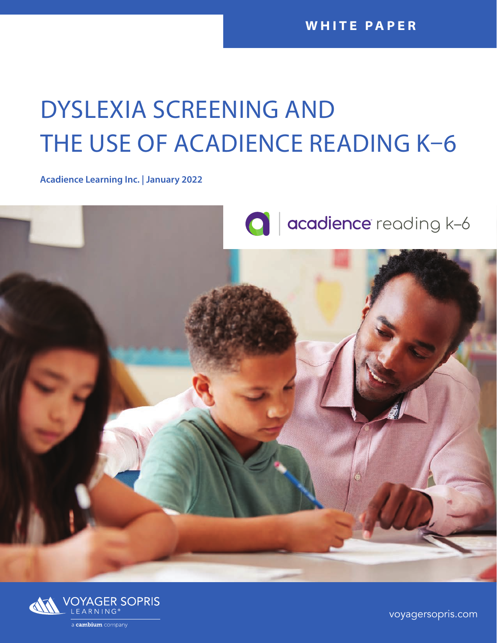# DYSLEXIA SCREENING AND THE USE OF ACADIENCE READING K–6

**Acadience Learning Inc. | January 2022**





[voyagersopris.com](http://www.voyagersopris.com)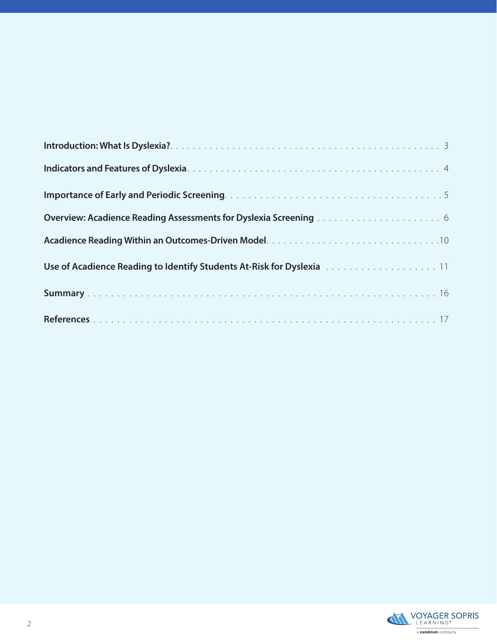| <b>Overview: Acadience Reading Assessments for Dyslexia Screening Actecate Actes 2006</b>                     |
|---------------------------------------------------------------------------------------------------------------|
|                                                                                                               |
| Use of Acadience Reading to Identify Students At-Risk for Dyslexia Actrices and Acadience Reading to Identify |
|                                                                                                               |
|                                                                                                               |

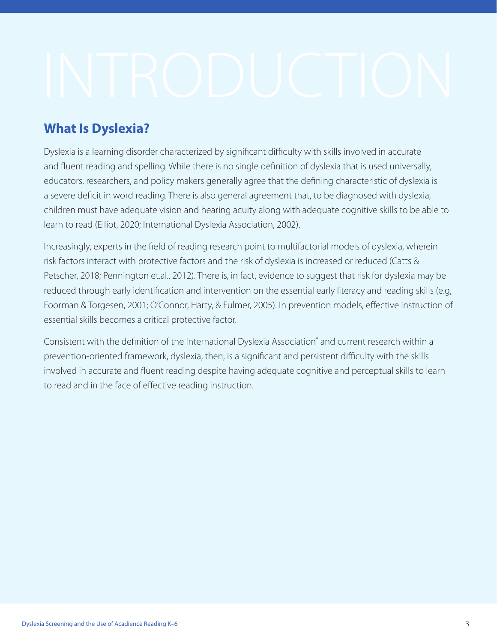### **What Is Dyslexia?**

Dyslexia is a learning disorder characterized by significant difficulty with skills involved in accurate and fluent reading and spelling. While there is no single definition of dyslexia that is used universally, educators, researchers, and policy makers generally agree that the defining characteristic of dyslexia is a severe deficit in word reading. There is also general agreement that, to be diagnosed with dyslexia, children must have adequate vision and hearing acuity along with adequate cognitive skills to be able to learn to read (Elliot, 2020; International Dyslexia Association, 2002).

Increasingly, experts in the field of reading research point to multifactorial models of dyslexia, wherein risk factors interact with protective factors and the risk of dyslexia is increased or reduced (Catts & Petscher, 2018; Pennington et.al., 2012). There is, in fact, evidence to suggest that risk for dyslexia may be reduced through early identification and intervention on the essential early literacy and reading skills (e.g, Foorman & Torgesen, 2001; O'Connor, Harty, & Fulmer, 2005). In prevention models, effective instruction of essential skills becomes a critical protective factor.

Consistent with the definition of the International Dyslexia Association® and current research within a prevention-oriented framework, dyslexia, then, is a significant and persistent difficulty with the skills involved in accurate and fluent reading despite having adequate cognitive and perceptual skills to learn to read and in the face of effective reading instruction.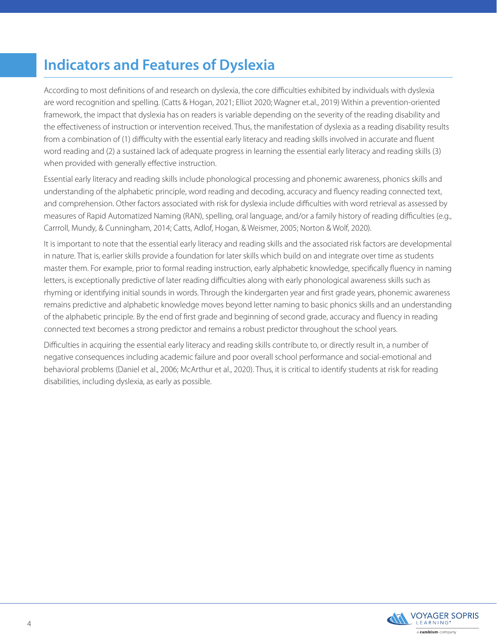## **Indicators and Features of Dyslexia**

According to most definitions of and research on dyslexia, the core difficulties exhibited by individuals with dyslexia are word recognition and spelling. (Catts & Hogan, 2021; Elliot 2020; Wagner et.al., 2019) Within a prevention-oriented framework, the impact that dyslexia has on readers is variable depending on the severity of the reading disability and the effectiveness of instruction or intervention received. Thus, the manifestation of dyslexia as a reading disability results from a combination of (1) difficulty with the essential early literacy and reading skills involved in accurate and fluent word reading and (2) a sustained lack of adequate progress in learning the essential early literacy and reading skills (3) when provided with generally effective instruction.

Essential early literacy and reading skills include phonological processing and phonemic awareness, phonics skills and understanding of the alphabetic principle, word reading and decoding, accuracy and fluency reading connected text, and comprehension. Other factors associated with risk for dyslexia include difficulties with word retrieval as assessed by measures of Rapid Automatized Naming (RAN), spelling, oral language, and/or a family history of reading difficulties (e.g., Carrroll, Mundy, & Cunningham, 2014; Catts, Adlof, Hogan, & Weismer, 2005; Norton & Wolf, 2020).

It is important to note that the essential early literacy and reading skills and the associated risk factors are developmental in nature. That is, earlier skills provide a foundation for later skills which build on and integrate over time as students master them. For example, prior to formal reading instruction, early alphabetic knowledge, specifically fluency in naming letters, is exceptionally predictive of later reading difficulties along with early phonological awareness skills such as rhyming or identifying initial sounds in words. Through the kindergarten year and first grade years, phonemic awareness remains predictive and alphabetic knowledge moves beyond letter naming to basic phonics skills and an understanding of the alphabetic principle. By the end of first grade and beginning of second grade, accuracy and fluency in reading connected text becomes a strong predictor and remains a robust predictor throughout the school years.

Difficulties in acquiring the essential early literacy and reading skills contribute to, or directly result in, a number of negative consequences including academic failure and poor overall school performance and social-emotional and behavioral problems (Daniel et al., 2006; McArthur et al., 2020). Thus, it is critical to identify students at risk for reading disabilities, including dyslexia, as early as possible.

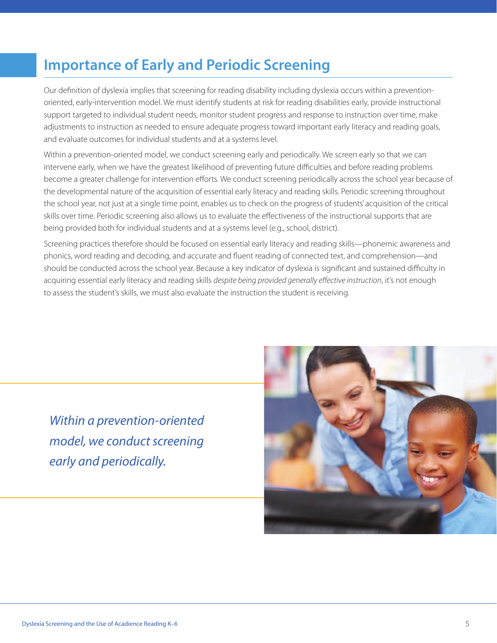### **Importance of Early and Periodic Screening**

Our definition of dyslexia implies that screening for reading disability including dyslexia occurs within a preventionoriented, early-intervention model. We must identify students at risk for reading disabilities early, provide instructional support targeted to individual student needs, monitor student progress and response to instruction over time, make adjustments to instruction as needed to ensure adequate progress toward important early literacy and reading goals, and evaluate outcomes for individual students and at a systems level.

Within a prevention-oriented model, we conduct screening early and periodically. We screen early so that we can intervene early, when we have the greatest likelihood of preventing future difficulties and before reading problems become a greater challenge for intervention efforts. We conduct screening periodically across the school year because of the developmental nature of the acquisition of essential early literacy and reading skills. Periodic screening throughout the school year, not just at a single time point, enables us to check on the progress of students' acquisition of the critical skills over time. Periodic screening also allows us to evaluate the effectiveness of the instructional supports that are being provided both for individual students and at a systems level (e.g., school, district).

Screening practices therefore should be focused on essential early literacy and reading skills—phonemic awareness and phonics, word reading and decoding, and accurate and fluent reading of connected text, and comprehension—and should be conducted across the school year. Because a key indicator of dyslexia is significant and sustained difficulty in acquiring essential early literacy and reading skills *despite being provided generally effective instruction*, it's not enough to assess the student's skills, we must also evaluate the instruction the student is receiving.

*Within a prevention-oriented model, we conduct screening early and periodically.*

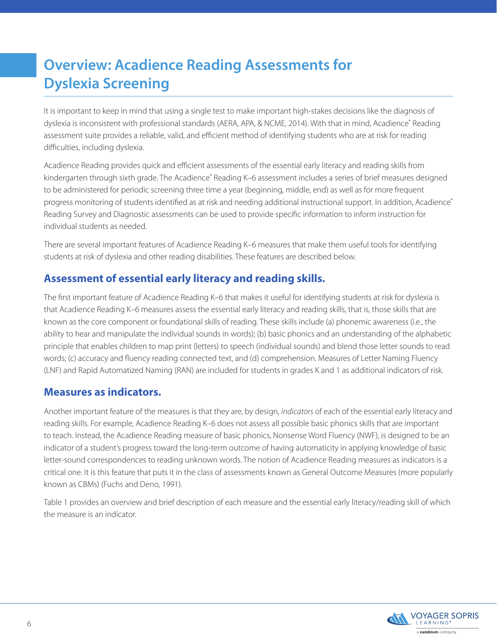## **Overview: Acadience Reading Assessments for Dyslexia Screening**

It is important to keep in mind that using a single test to make important high-stakes decisions like the diagnosis of dyslexia is inconsistent with professional standards (AERA, APA, & NCME, 2014). With that in mind, Acadience® Reading assessment suite provides a reliable, valid, and efficient method of identifying students who are at risk for reading difficulties, including dyslexia.

Acadience Reading provides quick and efficient assessments of the essential early literacy and reading skills from kindergarten through sixth grade. The Acadience® Reading K–6 assessment includes a series of brief measures designed to be administered for periodic screening three time a year (beginning, middle, end) as well as for more frequent progress monitoring of students identified as at risk and needing additional instructional support. In addition, Acadience® Reading Survey and Diagnostic assessments can be used to provide specific information to inform instruction for individual students as needed.

There are several important features of Acadience Reading K–6 measures that make them useful tools for identifying students at risk of dyslexia and other reading disabilities. These features are described below.

### **Assessment of essential early literacy and reading skills.**

The first important feature of Acadience Reading K–6 that makes it useful for identifying students at risk for dyslexia is that Acadience Reading K–6 measures assess the essential early literacy and reading skills, that is, those skills that are known as the core component or foundational skills of reading. These skills include (a) phonemic awareness (i.e., the ability to hear and manipulate the individual sounds in words); (b) basic phonics and an understanding of the alphabetic principle that enables children to map print (letters) to speech (individual sounds) and blend those letter sounds to read words; (c) accuracy and fluency reading connected text, and (d) comprehension. Measures of Letter Naming Fluency (LNF) and Rapid Automatized Naming (RAN) are included for students in grades K and 1 as additional indicators of risk.

### **Measures as indicators.**

Another important feature of the measures is that they are, by design, *indicators* of each of the essential early literacy and reading skills. For example, Acadience Reading K–6 does not assess all possible basic phonics skills that are important to teach. Instead, the Acadience Reading measure of basic phonics, Nonsense Word Fluency (NWF), is designed to be an indicator of a student's progress toward the long-term outcome of having automaticity in applying knowledge of basic letter-sound correspondences to reading unknown words. The notion of Acadience Reading measures as indicators is a critical one. It is this feature that puts it in the class of assessments known as General Outcome Measures (more popularly known as CBMs) (Fuchs and Deno, 1991).

Table 1 provides an overview and brief description of each measure and the essential early literacy/reading skill of which the measure is an indicator.

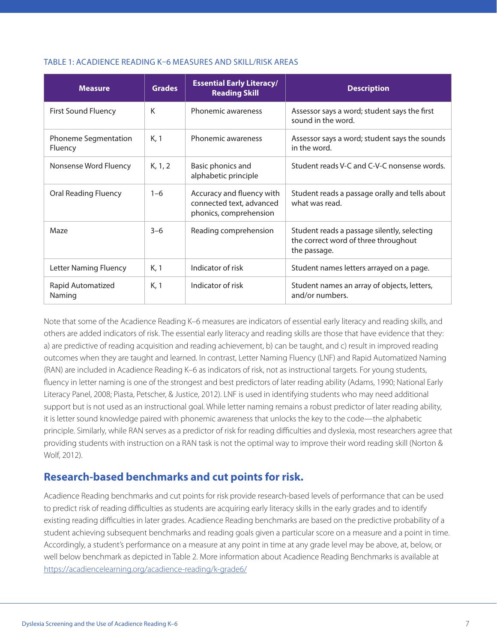### TABLE 1: ACADIENCE READING K–6 MEASURES AND SKILL/RISK AREAS

| <b>Measure</b>                  | <b>Grades</b> | <b>Essential Early Literacy/</b><br><b>Reading Skill</b>                        | <b>Description</b>                                                                                  |  |  |  |
|---------------------------------|---------------|---------------------------------------------------------------------------------|-----------------------------------------------------------------------------------------------------|--|--|--|
| <b>First Sound Fluency</b>      | K             | Phonemic awareness                                                              | Assessor says a word; student says the first<br>sound in the word.                                  |  |  |  |
| Phoneme Segmentation<br>Fluency | K, 1          | Phonemic awareness                                                              | Assessor says a word; student says the sounds<br>in the word.                                       |  |  |  |
| Nonsense Word Fluency           | K, 1, 2       | Basic phonics and<br>alphabetic principle                                       | Student reads V-C and C-V-C nonsense words.                                                         |  |  |  |
| <b>Oral Reading Fluency</b>     | $1 - 6$       | Accuracy and fluency with<br>connected text, advanced<br>phonics, comprehension | Student reads a passage orally and tells about<br>what was read.                                    |  |  |  |
| Maze                            | $3-6$         | Reading comprehension                                                           | Student reads a passage silently, selecting<br>the correct word of three throughout<br>the passage. |  |  |  |
| <b>Letter Naming Fluency</b>    | K, 1          | Indicator of risk                                                               | Student names letters arrayed on a page.                                                            |  |  |  |
| Rapid Automatized<br>Naming     | K, 1          | Indicator of risk                                                               | Student names an array of objects, letters,<br>and/or numbers.                                      |  |  |  |

Note that some of the Acadience Reading K–6 measures are indicators of essential early literacy and reading skills, and others are added indicators of risk. The essential early literacy and reading skills are those that have evidence that they: a) are predictive of reading acquisition and reading achievement, b) can be taught, and c) result in improved reading outcomes when they are taught and learned. In contrast, Letter Naming Fluency (LNF) and Rapid Automatized Naming (RAN) are included in Acadience Reading K–6 as indicators of risk, not as instructional targets. For young students, fluency in letter naming is one of the strongest and best predictors of later reading ability (Adams, 1990; National Early Literacy Panel, 2008; Piasta, Petscher, & Justice, 2012). LNF is used in identifying students who may need additional support but is not used as an instructional goal. While letter naming remains a robust predictor of later reading ability, it is letter sound knowledge paired with phonemic awareness that unlocks the key to the code—the alphabetic principle. Similarly, while RAN serves as a predictor of risk for reading difficulties and dyslexia, most researchers agree that providing students with instruction on a RAN task is not the optimal way to improve their word reading skill (Norton & Wolf, 2012).

### **Research-based benchmarks and cut points for risk.**

Acadience Reading benchmarks and cut points for risk provide research-based levels of performance that can be used to predict risk of reading difficulties as students are acquiring early literacy skills in the early grades and to identify existing reading difficulties in later grades. Acadience Reading benchmarks are based on the predictive probability of a student achieving subsequent benchmarks and reading goals given a particular score on a measure and a point in time. Accordingly, a student's performance on a measure at any point in time at any grade level may be above, at, below, or well below benchmark as depicted in Table 2. More information about Acadience Reading Benchmarks is available at <https://acadiencelearning.org/acadience-reading/k-grade6/>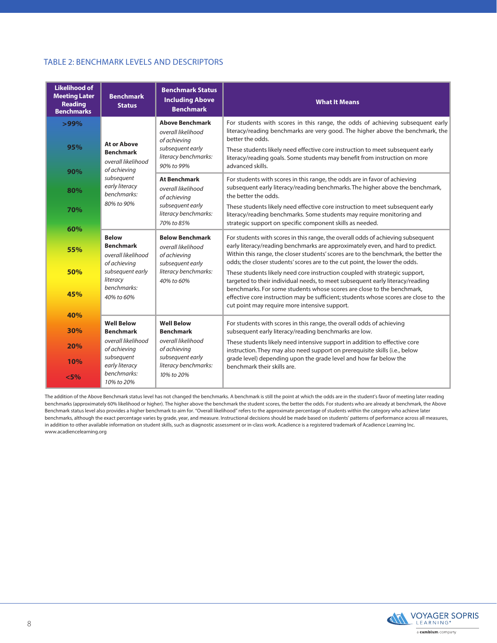### TABLE 2: BENCHMARK LEVELS AND DESCRIPTORS

| <b>Likelihood of</b><br><b>Meeting Later</b><br><b>Reading</b><br><b>Benchmarks</b> | <b>Benchmark</b><br><b>Status</b>                                                                        | <b>Benchmark Status</b><br><b>Including Above</b><br><b>Benchmark</b> | <b>What It Means</b>                                                                                                                                                                                                                                                                                                                                                                                                                                                                                     |  |  |  |  |  |
|-------------------------------------------------------------------------------------|----------------------------------------------------------------------------------------------------------|-----------------------------------------------------------------------|----------------------------------------------------------------------------------------------------------------------------------------------------------------------------------------------------------------------------------------------------------------------------------------------------------------------------------------------------------------------------------------------------------------------------------------------------------------------------------------------------------|--|--|--|--|--|
| $>99\%$                                                                             |                                                                                                          | <b>Above Benchmark</b><br>overall likelihood<br>of achieving          | For students with scores in this range, the odds of achieving subsequent early<br>literacy/reading benchmarks are very good. The higher above the benchmark, the<br>better the odds.                                                                                                                                                                                                                                                                                                                     |  |  |  |  |  |
| 95%                                                                                 | <b>At or Above</b><br><b>Benchmark</b><br>overall likelihood                                             | subsequent early<br>literacy benchmarks:                              | These students likely need effective core instruction to meet subsequent early<br>literacy/reading goals. Some students may benefit from instruction on more                                                                                                                                                                                                                                                                                                                                             |  |  |  |  |  |
| 90%                                                                                 | of achieving                                                                                             | 90% to 99%                                                            | advanced skills.                                                                                                                                                                                                                                                                                                                                                                                                                                                                                         |  |  |  |  |  |
| 80%                                                                                 | subsequent<br><b>At Benchmark</b><br>early literacy<br>overall likelihood<br>benchmarks:<br>of achieving |                                                                       | For students with scores in this range, the odds are in favor of achieving<br>subsequent early literacy/reading benchmarks. The higher above the benchmark,<br>the better the odds.                                                                                                                                                                                                                                                                                                                      |  |  |  |  |  |
| 70%                                                                                 | 80% to 90%                                                                                               | subsequent early<br>literacy benchmarks:<br>70% to 85%                | These students likely need effective core instruction to meet subsequent early<br>literacy/reading benchmarks. Some students may require monitoring and<br>strategic support on specific component skills as needed.                                                                                                                                                                                                                                                                                     |  |  |  |  |  |
| 60%                                                                                 | <b>Below</b>                                                                                             | <b>Below Benchmark</b>                                                | For students with scores in this range, the overall odds of achieving subsequent<br>early literacy/reading benchmarks are approximately even, and hard to predict.<br>Within this range, the closer students' scores are to the benchmark, the better the<br>odds; the closer students' scores are to the cut point, the lower the odds.<br>These students likely need core instruction coupled with strategic support,<br>targeted to their individual needs, to meet subsequent early literacy/reading |  |  |  |  |  |
| 55%                                                                                 | <b>Benchmark</b><br>overall likelihood<br>of achieving                                                   | overall likelihood<br>of achieving<br>subsequent early                |                                                                                                                                                                                                                                                                                                                                                                                                                                                                                                          |  |  |  |  |  |
| 50%                                                                                 | subsequent early<br>literacy                                                                             | literacy benchmarks:<br>40% to 60%                                    |                                                                                                                                                                                                                                                                                                                                                                                                                                                                                                          |  |  |  |  |  |
| 45%                                                                                 | benchmarks:<br>40% to 60%                                                                                |                                                                       | benchmarks. For some students whose scores are close to the benchmark,<br>effective core instruction may be sufficient; students whose scores are close to the<br>cut point may require more intensive support.                                                                                                                                                                                                                                                                                          |  |  |  |  |  |
| 40%                                                                                 | <b>Well Below</b>                                                                                        | <b>Well Below</b>                                                     |                                                                                                                                                                                                                                                                                                                                                                                                                                                                                                          |  |  |  |  |  |
| 30%                                                                                 | <b>Benchmark</b>                                                                                         | <b>Benchmark</b>                                                      | For students with scores in this range, the overall odds of achieving<br>subsequent early literacy/reading benchmarks are low.                                                                                                                                                                                                                                                                                                                                                                           |  |  |  |  |  |
| 20%                                                                                 | overall likelihood<br>of achieving                                                                       | overall likelihood<br>of achieving                                    | These students likely need intensive support in addition to effective core<br>instruction. They may also need support on prerequisite skills (i.e., below                                                                                                                                                                                                                                                                                                                                                |  |  |  |  |  |
| 10%                                                                                 | subsequent<br>subsequent early<br>early literacy<br>literacy benchmarks:                                 |                                                                       | grade level) depending upon the grade level and how far below the<br>benchmark their skills are.                                                                                                                                                                                                                                                                                                                                                                                                         |  |  |  |  |  |
| benchmarks:<br>< 5%<br>10% to 20%                                                   |                                                                                                          | 10% to 20%                                                            |                                                                                                                                                                                                                                                                                                                                                                                                                                                                                                          |  |  |  |  |  |

The addition of the Above Benchmark status level has not changed the benchmarks. A benchmark is still the point at which the odds are in the student's favor of meeting later reading benchmarks (approximately 60% likelihood or higher). The higher above the benchmark the student scores, the better the odds. For students who are already at benchmark, the Above Benchmark status level also provides a higher benchmark to aim for. "Overall likelihood" refers to the approximate percentage of students within the category who achieve later benchmarks, although the exact percentage varies by grade, year, and measure. Instructional decisions should be made based on students' patterns of performance across all measures, in addition to other available information on student skills, such as diagnostic assessment or in-class work. Acadience is a registered trademark of Acadience Learning Inc. www.acadiencelearning.org

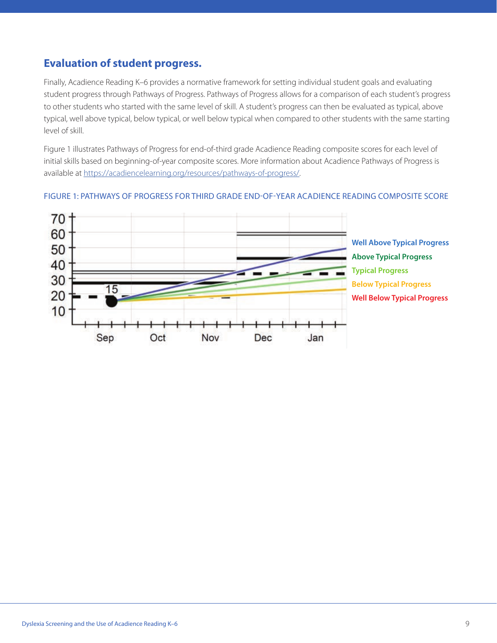### **Evaluation of student progress.**

Finally, Acadience Reading K–6 provides a normative framework for setting individual student goals and evaluating student progress through Pathways of Progress. Pathways of Progress allows for a comparison of each student's progress to other students who started with the same level of skill. A student's progress can then be evaluated as typical, above typical, well above typical, below typical, or well below typical when compared to other students with the same starting level of skill.

Figure 1 illustrates Pathways of Progress for end-of-third grade Acadience Reading composite scores for each level of initial skills based on beginning-of-year composite scores. More information about Acadience Pathways of Progress is available at [https://acadiencelearning.org/resources/pathways-of-progress/.](https://acadiencelearning.org/resources/pathways-of-progress/)



#### FIGURE 1: PATHWAYS OF PROGRESS FOR THIRD GRADE END-OF-YEAR ACADIENCE READING COMPOSITE SCORE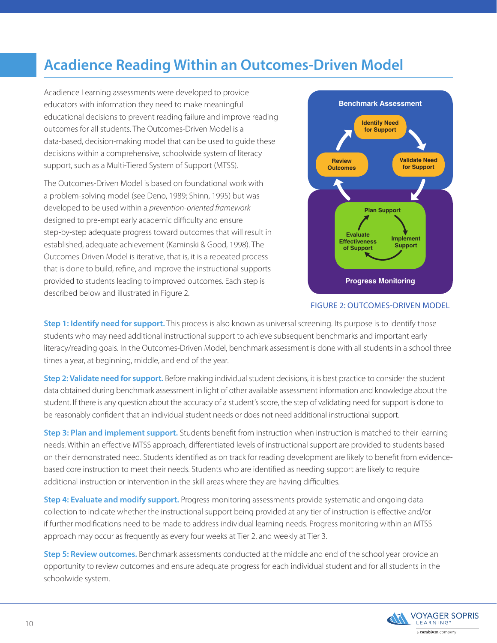### **Acadience Reading Within an Outcomes-Driven Model**

Acadience Learning assessments were developed to provide educators with information they need to make meaningful educational decisions to prevent reading failure and improve reading outcomes for all students. The Outcomes-Driven Model is a data-based, decision-making model that can be used to guide these decisions within a comprehensive, schoolwide system of literacy support, such as a Multi-Tiered System of Support (MTSS).

The Outcomes-Driven Model is based on foundational work with a problem-solving model (see Deno, 1989; Shinn, 1995) but was developed to be used within a *prevention-oriented framework* designed to pre-empt early academic difficulty and ensure step-by-step adequate progress toward outcomes that will result in established, adequate achievement (Kaminski & Good, 1998). The Outcomes-Driven Model is iterative, that is, it is a repeated process that is done to build, refine, and improve the instructional supports provided to students leading to improved outcomes. Each step is described below and illustrated in Figure 2.



#### FIGURE 2: OUTCOMES-DRIVEN MODEL

**Step 1: Identify need for support.** This process is also known as universal screening. Its purpose is to identify those students who may need additional instructional support to achieve subsequent benchmarks and important early literacy/reading goals. In the Outcomes-Driven Model, benchmark assessment is done with all students in a school three times a year, at beginning, middle, and end of the year.

**Step 2: Validate need for support.** Before making individual student decisions, it is best practice to consider the student data obtained during benchmark assessment in light of other available assessment information and knowledge about the student. If there is any question about the accuracy of a student's score, the step of validating need for support is done to be reasonably confident that an individual student needs or does not need additional instructional support.

**Step 3: Plan and implement support.** Students benefit from instruction when instruction is matched to their learning needs. Within an effective MTSS approach, differentiated levels of instructional support are provided to students based on their demonstrated need. Students identified as on track for reading development are likely to benefit from evidencebased core instruction to meet their needs. Students who are identified as needing support are likely to require additional instruction or intervention in the skill areas where they are having difficulties.

**Step 4: Evaluate and modify support.** Progress-monitoring assessments provide systematic and ongoing data collection to indicate whether the instructional support being provided at any tier of instruction is effective and/or if further modifications need to be made to address individual learning needs. Progress monitoring within an MTSS approach may occur as frequently as every four weeks at Tier 2, and weekly at Tier 3.

**Step 5: Review outcomes.** Benchmark assessments conducted at the middle and end of the school year provide an opportunity to review outcomes and ensure adequate progress for each individual student and for all students in the schoolwide system.

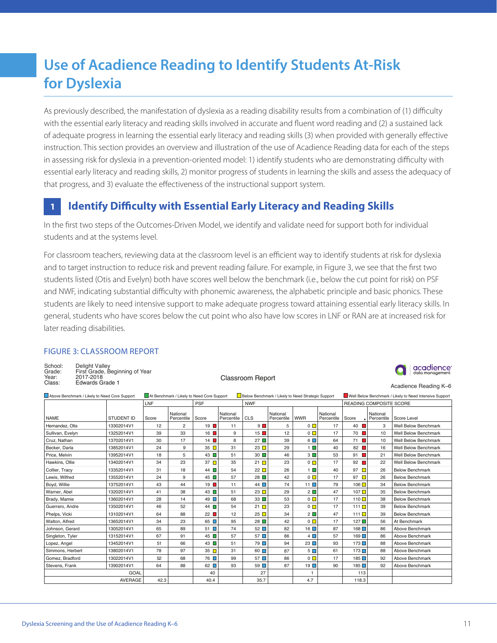## **Use of Acadience Reading to Identify Students At-Risk for Dyslexia**

As previously described, the manifestation of dyslexia as a reading disability results from a combination of (1) difficulty with the essential early literacy and reading skills involved in accurate and fluent word reading and (2) a sustained lack of adequate progress in learning the essential early literacy and reading skills (3) when provided with generally effective instruction. This section provides an overview and illustration of the use of Acadience Reading data for each of the steps in assessing risk for dyslexia in a prevention-oriented model: 1) identify students who are demonstrating difficulty with essential early literacy and reading skills, 2) monitor progress of students in learning the skills and assess the adequacy of that progress, and 3) evaluate the effectiveness of the instructional support system.

#### **Identify Difficulty with Essential Early Literacy and Reading Skills 1**

In the first two steps of the Outcomes-Driven Model, we identify and validate need for support both for individual students and at the systems level.

For classroom teachers, reviewing data at the classroom level is an efficient way to identify students at risk for dyslexia and to target instruction to reduce risk and prevent reading failure. For example, in Figure 3, we see that the first two students listed (Otis and Evelyn) both have scores well below the benchmark (i.e., below the cut point for risk) on PSF and NWF, indicating substantial difficulty with phonemic awareness, the alphabetic principle and basic phonics. These students are likely to need intensive support to make adequate progress toward attaining essential early literacy skills. In general, students who have scores below the cut point who also have low scores in LNF or RAN are at increased risk for later reading disabilities.

### FIGURE 3: CLASSROOM REPORT

| School:<br>Grade:<br>Year: | Delight Valley<br>First Grade, Beginning of Year<br>2017-2018 | Classroom Report | $\bigcap$ acadience<br>data management |
|----------------------------|---------------------------------------------------------------|------------------|----------------------------------------|
| Class:                     | Edwards Grade 1                                               |                  | Acadience Reading K-6                  |

| Above Benchmark / Likely to Need Core Support |                   | At Benchmark / Likely to Need Core Support |                        |             |                        | Below Benchmark / Likely to Need Strategic Support |                        |                |                        | Well Below Benchmark / Likely to Need Intensive Support |                        |                             |  |
|-----------------------------------------------|-------------------|--------------------------------------------|------------------------|-------------|------------------------|----------------------------------------------------|------------------------|----------------|------------------------|---------------------------------------------------------|------------------------|-----------------------------|--|
|                                               |                   | LNF<br><b>PSF</b>                          |                        |             |                        | <b>NWF</b>                                         |                        |                |                        | READING COMPOSITE SCORE                                 |                        |                             |  |
| <b>NAME</b>                                   | <b>STUDENT ID</b> | Score                                      | National<br>Percentile | Score       | National<br>Percentile | <b>CLS</b>                                         | National<br>Percentile | <b>WWR</b>     | National<br>Percentile | Score                                                   | National<br>Percentile | Score Level                 |  |
| Hernandez, Otis                               | 13302014V1        | 12                                         | $\mathbf{2}$           | 19          | 11                     | $9 \blacksquare$                                   | 5                      | $\Omega$       | 17                     | 40                                                      | 3                      | <b>Well Below Benchmark</b> |  |
| Sullivan, Evelyn                              | 13252014V1        | 39                                         | 33                     | 16          | 9                      | 15                                                 | 12                     | $0\Box$        | 17                     | 70 <b>II</b>                                            | 10                     | <b>Well Below Benchmark</b> |  |
| Cruz, Nathan                                  | 13702014V1        | 30                                         | 17                     | 14          | 8                      | 27                                                 | 39                     | $6\Box$        | 64                     | 71 <b>I</b>                                             | 10                     | <b>Well Below Benchmark</b> |  |
| Becker, Darla                                 | 13852014V1        | 24                                         | 9                      | 35          | 31                     | 23 $\Box$                                          | 29                     | $1 \Box$       | 40                     | 82 <b>I</b>                                             | 16                     | <b>Well Below Benchmark</b> |  |
| Price, Melvin                                 | 13952014V1        | 18                                         | 5                      | 43          | 51                     | 30                                                 | 46                     | $3\Box$        | 53                     | 91                                                      | 21                     | <b>Well Below Benchmark</b> |  |
| Hawkins, Ollie                                | 13402014V1        | 34                                         | 23                     | 37          | 35                     | 21 $\Box$                                          | 23                     | $\overline{0}$ | 17                     | 92                                                      | 22                     | <b>Well Below Benchmark</b> |  |
| Collier, Tracy                                | 13352014V1        | 31                                         | 18                     | 44          | 54                     | 22 $\Box$                                          | 26                     | $1 \Box$       | 40                     | 97                                                      | 26                     | <b>Below Benchmark</b>      |  |
| Lewis, Wilfred                                | 13552014V1        | 24                                         | 9                      | 45          | 57                     | 28                                                 | 42                     | $0\Box$        | 17                     | 97 $\Box$                                               | 26                     | <b>Below Benchmark</b>      |  |
| Boyd, Willie                                  | 13752014V1        | 43                                         | 44                     | 19          | 11                     | 44                                                 | 74                     | 11             | 79                     | 106 <b>D</b>                                            | 34                     | <b>Below Benchmark</b>      |  |
| Warner, Abel                                  | 13202014V1        | 41                                         | 38                     | 43          | 51                     | 23                                                 | 29                     | $2\Box$        | 47                     | 107                                                     | 35                     | <b>Below Benchmark</b>      |  |
| Brady, Mamie                                  | 13602014V1        | 28                                         | 14                     | 49 $\Box$   | 68                     | 33                                                 | 53                     | $0\Box$        | 17                     | 110                                                     | 38                     | <b>Below Benchmark</b>      |  |
| Guerrero, Andre                               | 13502014V1        | 46                                         | 52                     | 44          | 54                     | 21 $\Box$                                          | 23                     | $0\Box$        | 17                     | $111 \blacksquare$                                      | 39                     | <b>Below Benchmark</b>      |  |
| Phelps, Vicki                                 | 13102014V1        | 64                                         | 88                     | 22          | 12                     | 25 $\Box$                                          | 34                     | $2\Box$        | 47                     | 111 $\Box$                                              | 39                     | <b>Below Benchmark</b>      |  |
| Walton, Alfred                                | 13652014V1        | 34                                         | 23                     | $65$ $\Box$ | 95                     | 28                                                 | 42                     | $0\Box$        | 17                     | $127 \square$                                           | 56                     | At Benchmark                |  |
| Johnson, Gerard                               | 13052014V1        | 65                                         | 89                     | $51$ $\Box$ | 74                     | $52$ $\Box$                                        | 82                     | $16\Box$       | 87                     | 168□                                                    | 86                     | Above Benchmark             |  |
| Singleton, Tyler                              | 13152014V1        | 67                                         | 91                     | 45          | 57                     | 57                                                 | 86                     | $4\Box$        | 57                     | $169$ $\Box$                                            | 86                     | Above Benchmark             |  |
| Lopez, Angel                                  | 13452014V1        | 51                                         | 66                     | 43          | 51                     | $79$ $\Box$                                        | 94                     | 23             | 93                     | 173                                                     | 88                     | Above Benchmark             |  |
| Simmons, Herbert                              | 13802014V1        | 78                                         | 97                     | 35          | 31                     | 60                                                 | 87                     | $5\Box$        | 61                     | 173                                                     | 88                     | Above Benchmark             |  |
| Gomez, Bradford                               | 13022014V1        | 52                                         | 68                     | 76 <b>D</b> | 99                     | 57                                                 | 86                     | $0\Box$        | 17                     | 185                                                     | 92                     | Above Benchmark             |  |
| Stevens, Frank                                | 13902014V1        | 64                                         | 88                     | $62$ $\Box$ | 93                     | 59 <b>1</b>                                        | 87                     | $19$ $\Box$    | 90                     | 185□                                                    | 92                     | Above Benchmark             |  |
| GOAL                                          |                   |                                            |                        | 40          |                        | 27                                                 |                        |                |                        | 113                                                     |                        |                             |  |
|                                               | AVERAGE           | 42.3                                       |                        | 40.4        |                        | 35.7                                               |                        | 4.7            |                        | 118.3                                                   |                        |                             |  |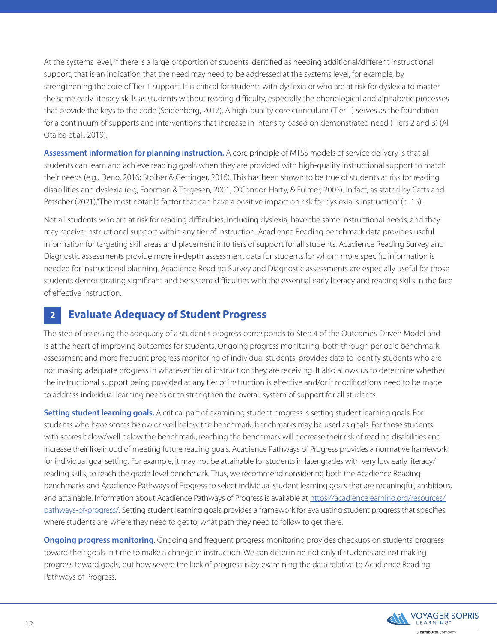At the systems level, if there is a large proportion of students identified as needing additional/different instructional support, that is an indication that the need may need to be addressed at the systems level, for example, by strengthening the core of Tier 1 support. It is critical for students with dyslexia or who are at risk for dyslexia to master the same early literacy skills as students without reading difficulty, especially the phonological and alphabetic processes that provide the keys to the code (Seidenberg, 2017). A high-quality core curriculum (Tier 1) serves as the foundation for a continuum of supports and interventions that increase in intensity based on demonstrated need (Tiers 2 and 3) (Al Otaiba et.al., 2019).

**Assessment information for planning instruction.** A core principle of MTSS models of service delivery is that all students can learn and achieve reading goals when they are provided with high-quality instructional support to match their needs (e.g., Deno, 2016; Stoiber & Gettinger, 2016). This has been shown to be true of students at risk for reading disabilities and dyslexia (e.g, Foorman & Torgesen, 2001; O'Connor, Harty, & Fulmer, 2005). In fact, as stated by Catts and Petscher (2021),"The most notable factor that can have a positive impact on risk for dyslexia is instruction" (p. 15).

Not all students who are at risk for reading difficulties, including dyslexia, have the same instructional needs, and they may receive instructional support within any tier of instruction. Acadience Reading benchmark data provides useful information for targeting skill areas and placement into tiers of support for all students. Acadience Reading Survey and Diagnostic assessments provide more in-depth assessment data for students for whom more specific information is needed for instructional planning. Acadience Reading Survey and Diagnostic assessments are especially useful for those students demonstrating significant and persistent difficulties with the essential early literacy and reading skills in the face of effective instruction.

#### **Evaluate Adequacy of Student Progress 2**

The step of assessing the adequacy of a student's progress corresponds to Step 4 of the Outcomes-Driven Model and is at the heart of improving outcomes for students. Ongoing progress monitoring, both through periodic benchmark assessment and more frequent progress monitoring of individual students, provides data to identify students who are not making adequate progress in whatever tier of instruction they are receiving. It also allows us to determine whether the instructional support being provided at any tier of instruction is effective and/or if modifications need to be made to address individual learning needs or to strengthen the overall system of support for all students.

**Setting student learning goals.** A critical part of examining student progress is setting student learning goals. For students who have scores below or well below the benchmark, benchmarks may be used as goals. For those students with scores below/well below the benchmark, reaching the benchmark will decrease their risk of reading disabilities and increase their likelihood of meeting future reading goals. Acadience Pathways of Progress provides a normative framework for individual goal setting. For example, it may not be attainable for students in later grades with very low early literacy/ reading skills, to reach the grade-level benchmark. Thus, we recommend considering both the Acadience Reading benchmarks and Acadience Pathways of Progress to select individual student learning goals that are meaningful, ambitious, and attainable. Information about Acadience Pathways of Progress is available at [https://acadiencelearning.org/resources/](https://acadiencelearning.org/resources/pathways-of-progress/) [pathways-of-progress/](https://acadiencelearning.org/resources/pathways-of-progress/). Setting student learning goals provides a framework for evaluating student progress that specifies where students are, where they need to get to, what path they need to follow to get there.

**Ongoing progress monitoring**. Ongoing and frequent progress monitoring provides checkups on students' progress toward their goals in time to make a change in instruction. We can determine not only if students are not making progress toward goals, but how severe the lack of progress is by examining the data relative to Acadience Reading Pathways of Progress.

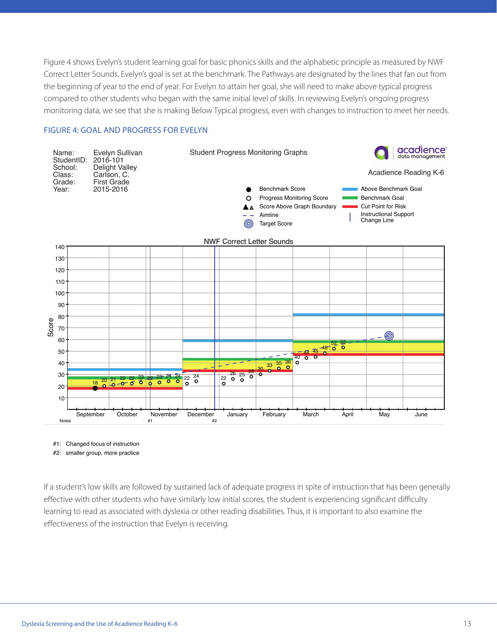Figure 4 shows Evelyn's student learning goal for basic phonics skills and the alphabetic principle as measured by NWF Correct Letter Sounds. Evelyn's goal is set at the benchmark. The Pathways are designated by the lines that fan out from the beginning of year to the end of year. For Evelyn to attain her goal, she will need to make above typical progress compared to other students who began with the same initial level of skills. In reviewing Evelyn's ongoing progress monitoring data, we see that she is making Below Typical progress, even with changes to instruction to meet her needs.

### FIGURE 4: GOAL AND PROGRESS FOR EVELYN



- #1: Changed focus of instruction
- #2: smaller group, more practice

If a student's low skills are followed by sustained lack of adequate progress in spite of instruction that has been generally effective with other students who have similarly low initial scores, the student is experiencing significant difficulty learning to read as associated with dyslexia or other reading disabilities. Thus, it is important to also examine the effectiveness of the instruction that Evelyn is receiving.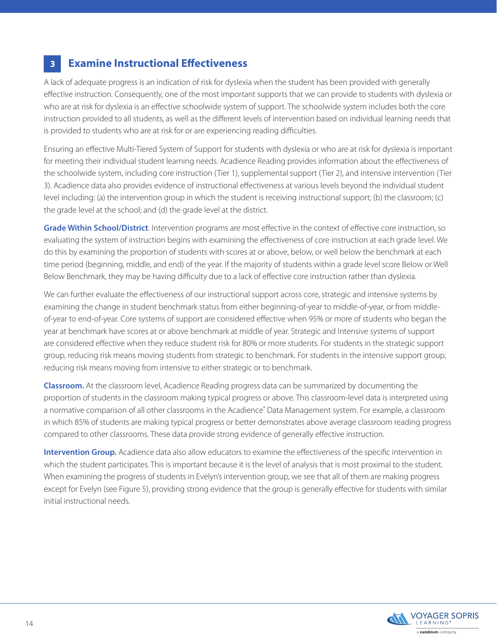#### **Examine Instructional Effectiveness 3**

A lack of adequate progress is an indication of risk for dyslexia when the student has been provided with generally effective instruction. Consequently, one of the most important supports that we can provide to students with dyslexia or who are at risk for dyslexia is an effective schoolwide system of support. The schoolwide system includes both the core instruction provided to all students, as well as the different levels of intervention based on individual learning needs that is provided to students who are at risk for or are experiencing reading difficulties.

Ensuring an effective Multi-Tiered System of Support for students with dyslexia or who are at risk for dyslexia is important for meeting their individual student learning needs. Acadience Reading provides information about the effectiveness of the schoolwide system, including core instruction (Tier 1), supplemental support (Tier 2), and intensive intervention (Tier 3). Acadience data also provides evidence of instructional effectiveness at various levels beyond the individual student level including: (a) the intervention group in which the student is receiving instructional support; (b) the classroom; (c) the grade level at the school; and (d) the grade level at the district.

**Grade Within School/District**. Intervention programs are most effective in the context of effective core instruction, so evaluating the system of instruction begins with examining the effectiveness of core instruction at each grade level. We do this by examining the proportion of students with scores at or above, below, or well below the benchmark at each time period (beginning, middle, and end) of the year. If the majority of students within a grade level score Below or Well Below Benchmark, they may be having difficulty due to a lack of effective core instruction rather than dyslexia.

We can further evaluate the effectiveness of our instructional support across core, strategic and intensive systems by examining the change in student benchmark status from either beginning-of-year to middle-of-year, or from middleof-year to end-of-year. Core systems of support are considered effective when 95% or more of students who began the year at benchmark have scores at or above benchmark at middle of year. Strategic and Intensive systems of support are considered effective when they reduce student risk for 80% or more students. For students in the strategic support group, reducing risk means moving students from strategic to benchmark. For students in the intensive support group, reducing risk means moving from intensive to either strategic or to benchmark.

**Classroom.** At the classroom level, Acadience Reading progress data can be summarized by documenting the proportion of students in the classroom making typical progress or above. This classroom-level data is interpreted using a normative comparison of all other classrooms in the Acadience<sup>®</sup> Data Management system. For example, a classroom in which 85% of students are making typical progress or better demonstrates above average classroom reading progress compared to other classrooms. These data provide strong evidence of generally effective instruction.

**Intervention Group.** Acadience data also allow educators to examine the effectiveness of the specific intervention in which the student participates. This is important because it is the level of analysis that is most proximal to the student. When examining the progress of students in Evelyn's intervention group, we see that all of them are making progress except for Evelyn (see Figure 5), providing strong evidence that the group is generally effective for students with similar initial instructional needs.

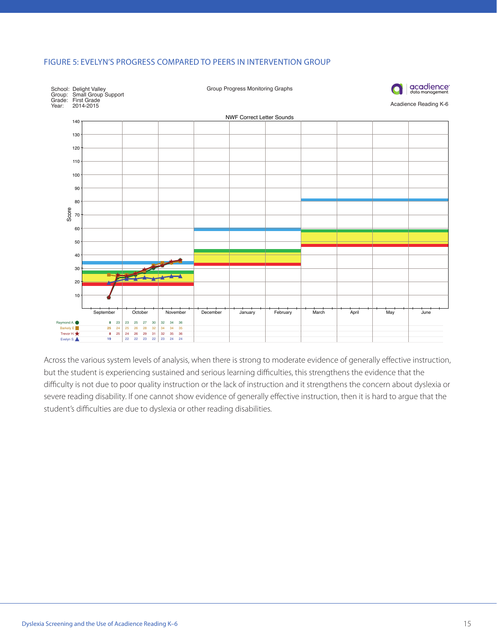### FIGURE 5: EVELYN'S PROGRESS COMPARED TO PEERS IN INTERVENTION GROUP



Across the various system levels of analysis, when there is strong to moderate evidence of generally effective instruction, but the student is experiencing sustained and serious learning difficulties, this strengthens the evidence that the difficulty is not due to poor quality instruction or the lack of instruction and it strengthens the concern about dyslexia or severe reading disability. If one cannot show evidence of generally effective instruction, then it is hard to argue that the student's difficulties are due to dyslexia or other reading disabilities.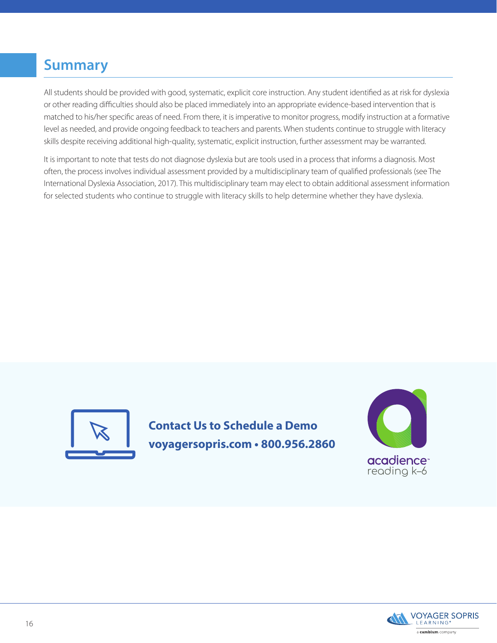### **Summary**

All students should be provided with good, systematic, explicit core instruction. Any student identified as at risk for dyslexia or other reading difficulties should also be placed immediately into an appropriate evidence-based intervention that is matched to his/her specific areas of need. From there, it is imperative to monitor progress, modify instruction at a formative level as needed, and provide ongoing feedback to teachers and parents. When students continue to struggle with literacy skills despite receiving additional high-quality, systematic, explicit instruction, further assessment may be warranted.

It is important to note that tests do not diagnose dyslexia but are tools used in a process that informs a diagnosis. Most often, the process involves individual assessment provided by a multidisciplinary team of qualified professionals (see The International Dyslexia Association, 2017). This multidisciplinary team may elect to obtain additional assessment information for selected students who continue to struggle with literacy skills to help determine whether they have dyslexia.



**Contact Us to Schedule a Demo voyagersopris.com • 800.956.2860**



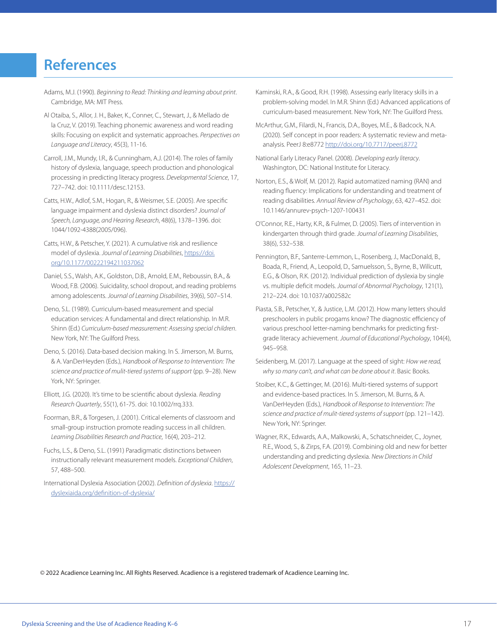### **References**

- Adams, M.J. (1990). *Beginning to Read: Thinking and learning about print*. Cambridge, MA: MIT Press.
- Al Otaiba, S., Allor, J. H., Baker, K., Conner, C., Stewart, J., & Mellado de la Cruz, V. (2019). Teaching phonemic awareness and word reading skills: Focusing on explicit and systematic approaches. *Perspectives on Language and Literacy*, 45(3), 11-16.
- Carroll, J.M., Mundy, I.R., & Cunningham, A.J. (2014). The roles of family history of dyslexia, language, speech production and phonological processing in predicting literacy progress. *Developmental Science*, 17, 727–742. doi: 10.1111/desc.12153.
- Catts, H.W., Adlof, S.M., Hogan, R., & Weismer, S.E. (2005). Are specific language impairment and dyslexia distinct disorders? *Journal of Speech, Language, and Hearing Research*, 48(6), 1378–1396. doi: 1044/1092-4388(2005/096).
- Catts, H.W., & Petscher, Y. (2021). A cumulative risk and resilience model of dyslexia. *Journal of Learning Disabilities*, [https://doi.](https://doi.org/10.1177/00222194211037062) [org/10.1177/00222194211037062](https://doi.org/10.1177/00222194211037062)
- Daniel, S.S., Walsh, A.K., Goldston, D.B., Arnold, E.M., Reboussin, B.A., & Wood, F.B. (2006). Suicidality, school dropout, and reading problems among adolescents. *Journal of Learning Disabilities*, 39(6), 507–514.
- Deno, S.L. (1989). Curriculum-based measurement and special education services: A fundamental and direct relationship. In M.R. Shinn (Ed.) *Curriculum-based measurement: Assessing special children*. New York, NY: The Guilford Press.
- Deno, S. (2016). Data-based decision making. In S. Jimerson, M. Burns, & A. VanDerHeyden (Eds.), *Handbook of Response to Intervention: The science and practice of mulit-tiered systems of support* (pp. 9–28). New York, NY: Springer.
- Elliott, J.G. (2020). It's time to be scientific about dyslexia. *Reading Research Quarterly*, 55(1), 61-75. doi: 10.1002/rrq.333.
- Foorman, B.R., & Torgesen, J. (2001). Critical elements of classroom and small-group instruction promote reading success in all children. *Learning Disabilities Research and Practice*, 16(4), 203–212.
- Fuchs, L.S., & Deno, S.L. (1991) Paradigmatic distinctions between instructionally relevant measurement models. *Exceptional Children*, 57, 488–500.
- International Dyslexia Association (2002). *Definition of dyslexia*. [https://](https://dyslexiaida.org/definition-of-dyslexia/) [dyslexiaida.org/definition-of-dyslexia/](https://dyslexiaida.org/definition-of-dyslexia/)
- Kaminski, R.A., & Good, R.H. (1998). Assessing early literacy skills in a problem-solving model. In M.R. Shinn (Ed.) Advanced applications of curriculum-based measurement. New York, NY: The Guilford Press.
- McArthur, G.M., Filardi, N., Francis, D.A., Boyes, M.E., & Badcock, N.A. (2020). Self concept in poor readers: A systematic review and metaanalysis. PeerJ 8:e8772 <http://doi.org/10.7717/peerj.8772>
- National Early Literacy Panel. (2008). *Developing early literacy*. Washington, DC: National Institute for Literacy.
- Norton, E.S., & Wolf, M. (2012). Rapid automatized naming (RAN) and reading fluency: Implications for understanding and treatment of reading disabilities. *Annual Review of Psychology*, 63, 427–452. doi: 10.1146/annurev-psych-1207-100431
- O'Connor, R.E., Harty, K.R., & Fulmer, D. (2005). Tiers of intervention in kindergarten through third grade. *Journal of Learning Disabilities*, 38(6), 532–538.
- Pennington, B.F., Santerre-Lemmon, L., Rosenberg, J., MacDonald, B., Boada, R., Friend, A., Leopold, D., Samuelsson, S., Byrne, B., Willcutt, E.G., & Olson, R.K. (2012). Individual prediction of dyslexia by single vs. multiple deficit models. *Journal of Abnormal Psychology*, 121(1), 212–224. doi: 10.1037/a002582c
- Piasta, S.B., Petscher, Y., & Justice, L.M. (2012). How many letters should preschoolers in public progams know? The diagnostic efficiency of various preschool letter-naming benchmarks for predicting firstgrade literacy achievement. *Journal of Educational Psychology*, 104(4), 945–958.
- Seidenberg, M. (2017). Language at the speed of sight: *How we read, why so many can't, and what can be done about it*. Basic Books.
- Stoiber, K.C., & Gettinger, M. (2016). Multi-tiered systems of support and evidence-based practices. In S. Jimerson, M. Burns, & A. VanDerHeyden (Eds.), *Handbook of Response to Intervention: The science and practice of mulit-tiered systems of support* (pp. 121–142). New York, NY: Springer.
- Wagner, R.K., Edwards, A.A., Malkowski, A., Schatschneider, C., Joyner, R.E., Wood, S., & Zirps, F.A. (2019). Combining old and new for better understanding and predicting dyslexia. *New Directions in Child Adolescent Development*, 165, 11–23.

© 2022 Acadience Learning Inc. All Rights Reserved. Acadience is a registered trademark of Acadience Learning Inc.